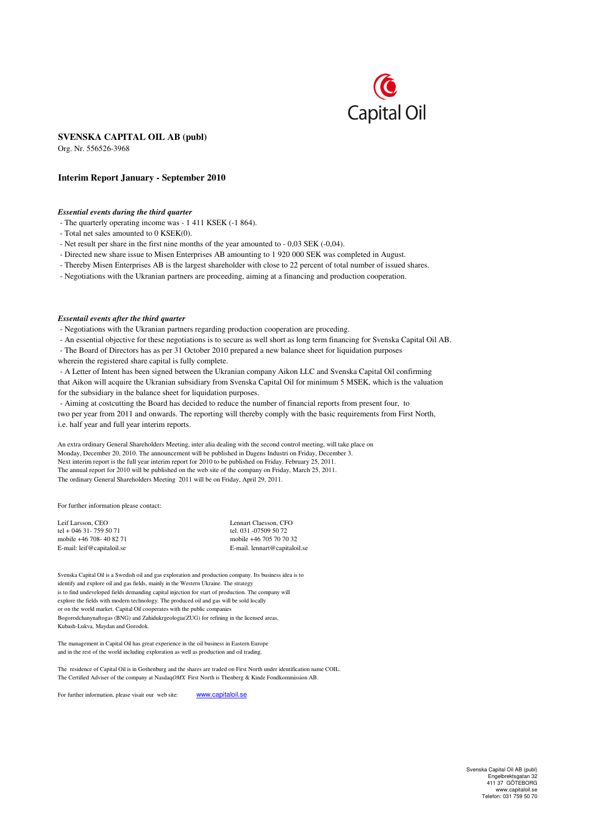

# **SVENSKA CAPITAL OIL AB (publ)**

Org. Nr. 556526-3968

#### **Interim Report January - September 2010**

### *Essential events during the third quarter*

- The quarterly operating income was - 1 411 KSEK (-1 864).

- Total net sales amounted to 0 KSEK(0).
- Net result per share in the first nine months of the year amounted to 0,03 SEK (-0,04).
- Directed new share issue to Misen Enterprises AB amounting to 1 920 000 SEK was completed in August.
- Thereby Misen Enterprises AB is the largest shareholder with close to 22 percent of total number of issued shares.
- Negotiations with the Ukranian partners are proceeding, aiming at a financing and production cooperation.

#### *Essentail events after the third quarter*

- Negotiations with the Ukranian partners regarding production cooperation are proceding.

- An essential objective for these negotiations is to secure as well short as long term financing for Svenska Capital Oil AB.
- The Board of Directors has as per 31 October 2010 prepared a new balance sheet for liquidation purposes

wherein the registered share capital is fully complete.

- A Letter of Intent has been signed between the Ukranian company Aikon LLC and Svenska Capital Oil confirming that Aikon will acquire the Ukranian subsidiary from Svenska Capital Oil for minimum 5 MSEK, which is the valuation for the subsidiary in the balance sheet for liquidation purposes.

- Aiming at costcutting the Board has decided to reduce the number of financial reports from present four, to two per year from 2011 and onwards. The reporting will thereby comply with the basic requirements from First North, i.e. half year and full year interim reports.

An extra ordinary General Shareholders Meeting, inter alia dealing with the second control meeting, will take place on Monday, December 20, 2010. The announcement will be published in Dagens Industri on Friday, December 3. Next interim report is the full year interim report for 2010 to be published on Friday. February 25, 2011. The annual report for 2010 will be published on the web site of the company on Friday, March 25, 2011. The ordinary General Shareholders Meeting 2011 will be on Friday, April 29, 2011.

For further information please contact:

| Leif Larsson, CEO          | Lennart Claesson, CFO         |
|----------------------------|-------------------------------|
| tel + 046 31 - 759 50 71   | tel. 031 -07509 50 72         |
| mobile +46 708-40 82 71    | mobile +46 705 70 70 32       |
| E-mail: leif@capitaloil.se | E-mail. lennart@capitaloil.se |

Svenska Capital Oil is a Swedish oil and gas exploration and production company. Its business idea is to identify and explore oil and gas fields, mainly in the Western Ukraine. The strategy is to find undeveloped fields demanding capital injection for start of production. The company will explore the fields with modern technology. The produced oil and gas will be sold locally or on the world market. Capital Oil cooperates with the public companies Bogorodchanynaftogas (BNG) and Zahidukrgeologia(ZUG) for refining in the licensed areas, Kubash-Lukva, Maydan and Gorodok.

The management in Capital Oil has great experience in the oil business in Eastern Europe and in the rest of the world including exploration as well as production and oil trading.

The residence of Capital Oil is in Gothenburg and the shares are traded on First North under identification name COIL. The Certified Adviser of the company at Nasdaq*OMX* First North is Thenberg & Kinde Fondkommission AB.

For further information, please visait our web site: www.capitaloil.se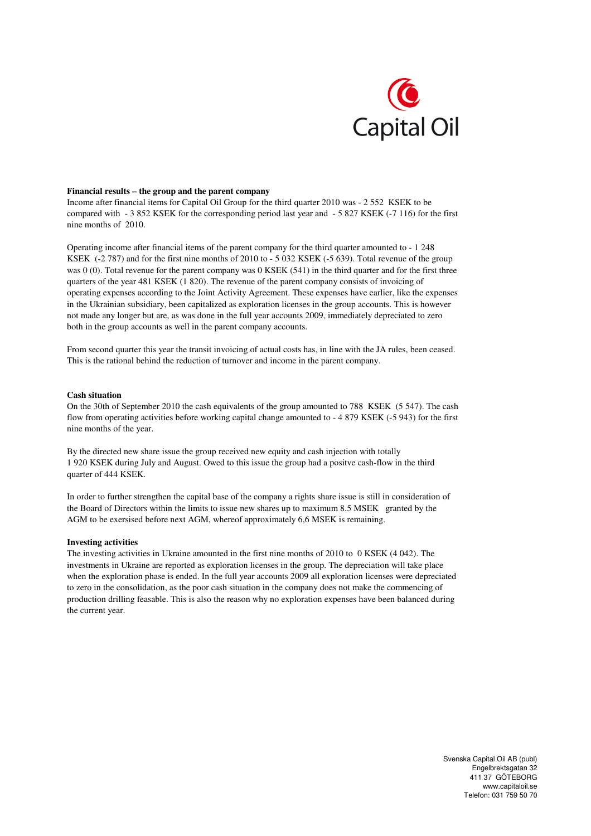

### **Financial results – the group and the parent company**

Income after financial items for Capital Oil Group for the third quarter 2010 was - 2 552 KSEK to be compared with - 3 852 KSEK for the corresponding period last year and - 5 827 KSEK (-7 116) for the first nine months of 2010.

Operating income after financial items of the parent company for the third quarter amounted to - 1 248 KSEK (-2 787) and for the first nine months of 2010 to - 5 032 KSEK (-5 639). Total revenue of the group was 0 (0). Total revenue for the parent company was 0 KSEK (541) in the third quarter and for the first three quarters of the year 481 KSEK (1 820). The revenue of the parent company consists of invoicing of operating expenses according to the Joint Activity Agreement. These expenses have earlier, like the expenses in the Ukrainian subsidiary, been capitalized as exploration licenses in the group accounts. This is however not made any longer but are, as was done in the full year accounts 2009, immediately depreciated to zero both in the group accounts as well in the parent company accounts.

From second quarter this year the transit invoicing of actual costs has, in line with the JA rules, been ceased. This is the rational behind the reduction of turnover and income in the parent company.

#### **Cash situation**

On the 30th of September 2010 the cash equivalents of the group amounted to 788 KSEK (5 547). The cash flow from operating activities before working capital change amounted to - 4 879 KSEK (-5 943) for the first nine months of the year.

By the directed new share issue the group received new equity and cash injection with totally 1 920 KSEK during July and August. Owed to this issue the group had a positve cash-flow in the third quarter of 444 KSEK.

In order to further strengthen the capital base of the company a rights share issue is still in consideration of the Board of Directors within the limits to issue new shares up to maximum 8.5 MSEK granted by the AGM to be exersised before next AGM, whereof approximately 6,6 MSEK is remaining.

#### **Investing activities**

The investing activities in Ukraine amounted in the first nine months of 2010 to 0 KSEK (4 042). The investments in Ukraine are reported as exploration licenses in the group. The depreciation will take place when the exploration phase is ended. In the full year accounts 2009 all exploration licenses were depreciated to zero in the consolidation, as the poor cash situation in the company does not make the commencing of production drilling feasable. This is also the reason why no exploration expenses have been balanced during the current year.

> Svenska Capital Oil AB (publ) Engelbrektsgatan 32 411 37 GÖTEBORG www.capitaloil.se Telefon: 031 759 50 70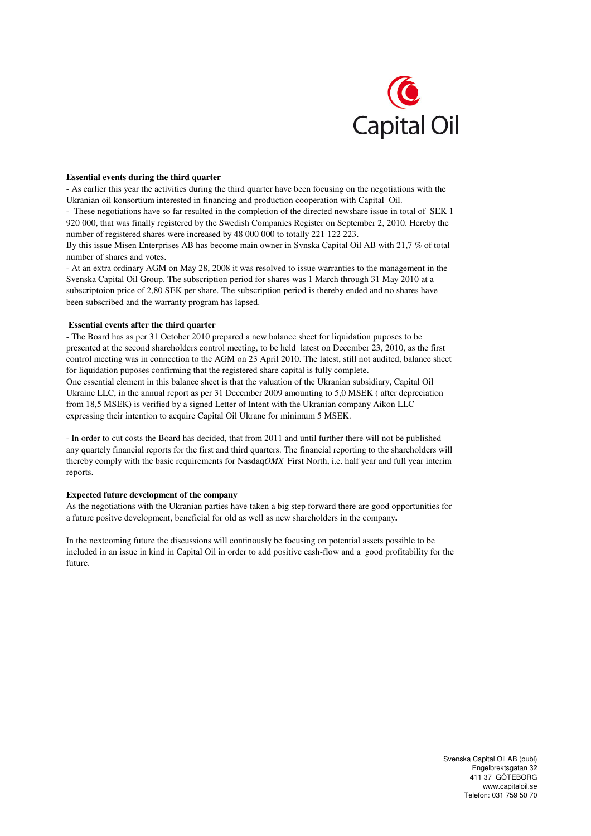

### **Essential events during the third quarter**

- As earlier this year the activities during the third quarter have been focusing on the negotiations with the Ukranian oil konsortium interested in financing and production cooperation with Capital Oil.

- These negotiations have so far resulted in the completion of the directed newshare issue in total of SEK 1 920 000, that was finally registered by the Swedish Companies Register on September 2, 2010. Hereby the number of registered shares were increased by 48 000 000 to totally 221 122 223.

By this issue Misen Enterprises AB has become main owner in Svnska Capital Oil AB with 21,7 % of total number of shares and votes.

- At an extra ordinary AGM on May 28, 2008 it was resolved to issue warranties to the management in the Svenska Capital Oil Group. The subscription period for shares was 1 March through 31 May 2010 at a subscriptoion price of 2,80 SEK per share. The subscription period is thereby ended and no shares have been subscribed and the warranty program has lapsed.

#### **Essential events after the third quarter**

- The Board has as per 31 October 2010 prepared a new balance sheet for liquidation puposes to be presented at the second shareholders control meeting, to be held latest on December 23, 2010, as the first control meeting was in connection to the AGM on 23 April 2010. The latest, still not audited, balance sheet for liquidation puposes confirming that the registered share capital is fully complete.

One essential element in this balance sheet is that the valuation of the Ukranian subsidiary, Capital Oil Ukraine LLC, in the annual report as per 31 December 2009 amounting to 5,0 MSEK ( after depreciation from 18,5 MSEK) is verified by a signed Letter of Intent with the Ukranian company Aikon LLC expressing their intention to acquire Capital Oil Ukrane for minimum 5 MSEK.

- In order to cut costs the Board has decided, that from 2011 and until further there will not be published any quartely financial reports for the first and third quarters. The financial reporting to the shareholders will thereby comply with the basic requirements for Nasdaq*OMX* First North, i.e. half year and full year interim reports.

### **Expected future development of the company**

As the negotiations with the Ukranian parties have taken a big step forward there are good opportunities for a future positve development, beneficial for old as well as new shareholders in the company**.**

In the nextcoming future the discussions will continously be focusing on potential assets possible to be included in an issue in kind in Capital Oil in order to add positive cash-flow and a good profitability for the future.

> Svenska Capital Oil AB (publ) Engelbrektsgatan 32 411 37 GÖTEBORG www.capitaloil.se Telefon: 031 759 50 70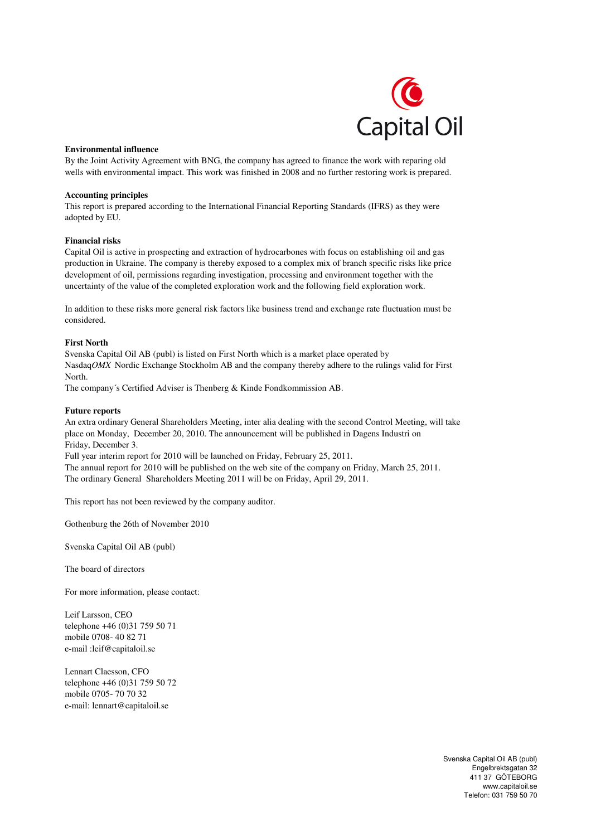

## **Environmental influence**

By the Joint Activity Agreement with BNG, the company has agreed to finance the work with reparing old wells with environmental impact. This work was finished in 2008 and no further restoring work is prepared.

## **Accounting principles**

This report is prepared according to the International Financial Reporting Standards (IFRS) as they were adopted by EU.

# **Financial risks**

Capital Oil is active in prospecting and extraction of hydrocarbones with focus on establishing oil and gas production in Ukraine. The company is thereby exposed to a complex mix of branch specific risks like price development of oil, permissions regarding investigation, processing and environment together with the uncertainty of the value of the completed exploration work and the following field exploration work.

In addition to these risks more general risk factors like business trend and exchange rate fluctuation must be considered.

## **First North**

Svenska Capital Oil AB (publ) is listed on First North which is a market place operated by Nasdaq*OMX* Nordic Exchange Stockholm AB and the company thereby adhere to the rulings valid for First North.

The company´s Certified Adviser is Thenberg & Kinde Fondkommission AB.

### **Future reports**

An extra ordinary General Shareholders Meeting, inter alia dealing with the second Control Meeting, will take place on Monday, December 20, 2010. The announcement will be published in Dagens Industri on Friday, December 3.

Full year interim report for 2010 will be launched on Friday, February 25, 2011.

The annual report for 2010 will be published on the web site of the company on Friday, March 25, 2011. The ordinary General Shareholders Meeting 2011 will be on Friday, April 29, 2011.

This report has not been reviewed by the company auditor.

Gothenburg the 26th of November 2010

Svenska Capital Oil AB (publ)

The board of directors

For more information, please contact:

Leif Larsson, CEO telephone +46 (0)31 759 50 71 mobile 0708- 40 82 71 e-mail :leif@capitaloil.se

Lennart Claesson, CFO telephone +46 (0)31 759 50 72 mobile 0705- 70 70 32 e-mail: lennart@capitaloil.se

> Svenska Capital Oil AB (publ) Engelbrektsgatan 32 411 37 GÖTEBORG www.capitaloil.se Telefon: 031 759 50 70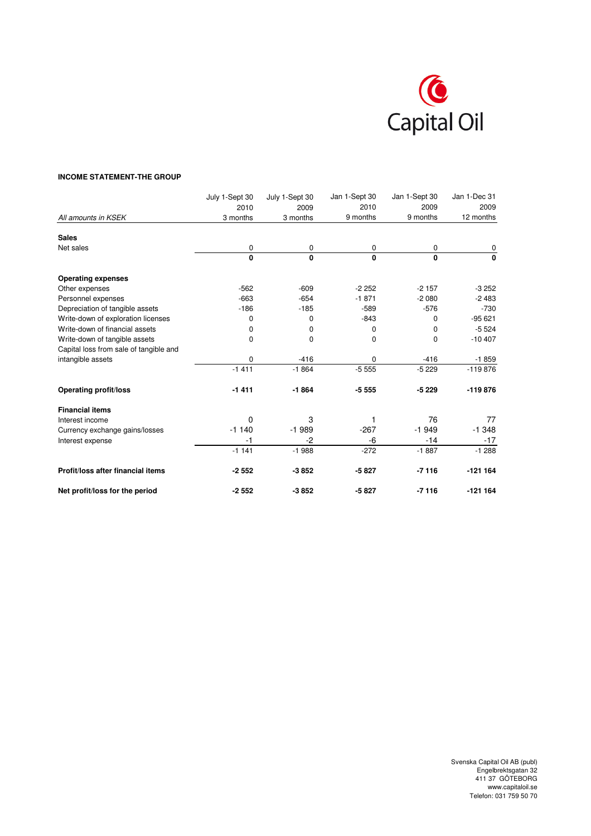

# **INCOME STATEMENT-THE GROUP**

|                                        | July 1-Sept 30 | July 1-Sept 30 | Jan 1-Sept 30 | Jan 1-Sept 30 | Jan 1-Dec 31 |
|----------------------------------------|----------------|----------------|---------------|---------------|--------------|
|                                        | 2010           | 2009           | 2010          | 2009          | 2009         |
| All amounts in KSEK                    | 3 months       | 3 months       | 9 months      | 9 months      | 12 months    |
| <b>Sales</b>                           |                |                |               |               |              |
| Net sales                              | 0              | 0              | 0             | 0             | 0            |
|                                        | 0              | 0              | $\mathbf{0}$  | $\mathbf{0}$  | 0            |
| <b>Operating expenses</b>              |                |                |               |               |              |
| Other expenses                         | $-562$         | $-609$         | $-2252$       | $-2157$       | $-3252$      |
| Personnel expenses                     | $-663$         | $-654$         | $-1871$       | $-2080$       | $-2483$      |
| Depreciation of tangible assets        | $-186$         | $-185$         | $-589$        | $-576$        | $-730$       |
| Write-down of exploration licenses     | 0              | 0              | $-843$        | $\mathbf 0$   | $-95621$     |
| Write-down of financial assets         | 0              | 0              | $\Omega$      | 0             | $-5524$      |
| Write-down of tangible assets          | $\Omega$       | 0              | $\Omega$      | 0             | $-10407$     |
| Capital loss from sale of tangible and |                |                |               |               |              |
| intangible assets                      | 0              | $-416$         | 0             | $-416$        | $-1859$      |
|                                        | $-1411$        | $-1864$        | $-5555$       | $-5229$       | $-119876$    |
| <b>Operating profit/loss</b>           | $-1411$        | $-1864$        | $-5555$       | $-5229$       | $-119876$    |
| <b>Financial items</b>                 |                |                |               |               |              |
| Interest income                        | $\Omega$       | 3              |               | 76            | 77           |
| Currency exchange gains/losses         | $-1140$        | $-1989$        | $-267$        | $-1949$       | $-1.348$     |
| Interest expense                       | $-1$           | $-2$           | $-6$          | $-14$         | $-17$        |
|                                        | $-1141$        | $-1988$        | $-272$        | $-1887$       | $-1288$      |
| Profit/loss after financial items      | $-2552$        | $-3852$        | $-5827$       | $-7116$       | $-121164$    |
| Net profit/loss for the period         | $-2552$        | $-3852$        | $-5827$       | $-7116$       | $-121164$    |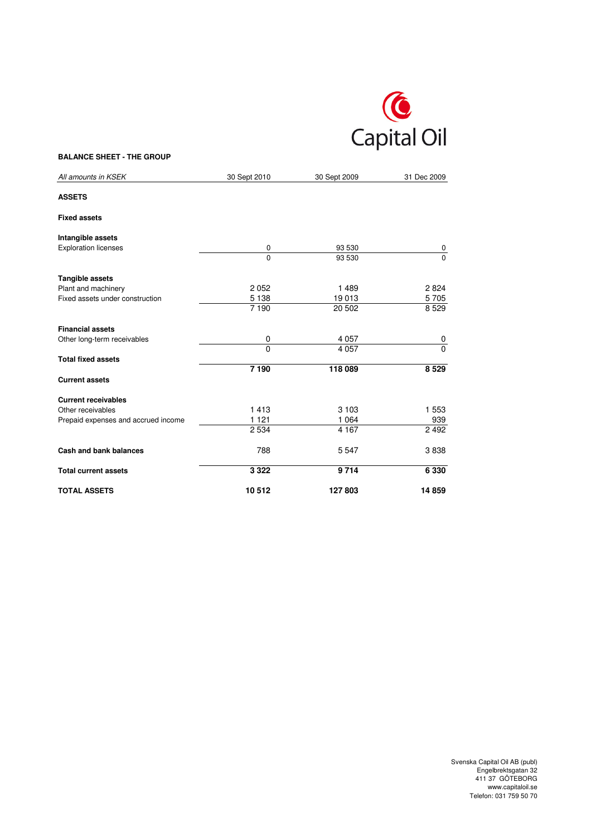

# **BALANCE SHEET - THE GROUP**

| All amounts in KSEK                 | 30 Sept 2010      | 30 Sept 2009 | 31 Dec 2009 |
|-------------------------------------|-------------------|--------------|-------------|
| <b>ASSETS</b>                       |                   |              |             |
| <b>Fixed assets</b>                 |                   |              |             |
| Intangible assets                   |                   |              |             |
| <b>Exploration licenses</b>         | 0                 | 93 530       | 0           |
|                                     | $\mathbf 0$       | 93 530       | $\Omega$    |
| Tangible assets                     |                   |              |             |
| Plant and machinery                 | 2052              | 1489         | 2824        |
| Fixed assets under construction     | 5 1 3 8           | 19013        | 5705        |
|                                     | $\frac{1}{7}$ 190 | 20 502       | 8529        |
| <b>Financial assets</b>             |                   |              |             |
| Other long-term receivables         | 0                 | 4 0 5 7      | 0           |
|                                     | $\Omega$          | 4 0 5 7      | $\Omega$    |
| <b>Total fixed assets</b>           |                   |              |             |
|                                     | 7 190             | 118 089      | 8 5 29      |
| <b>Current assets</b>               |                   |              |             |
| <b>Current receivables</b>          |                   |              |             |
| Other receivables                   | 1413              | 3 1 0 3      | 1 5 5 3     |
| Prepaid expenses and accrued income | 1 1 2 1           | 1 0 6 4      | 939         |
|                                     | 2 5 3 4           | 4 1 6 7      | 2 4 9 2     |
| <b>Cash and bank balances</b>       | 788               | 5547         | 3838        |
| <b>Total current assets</b>         | 3 3 2 2           | 9714         | 6 3 3 0     |
| <b>TOTAL ASSETS</b>                 | 10512             | 127803       | 14859       |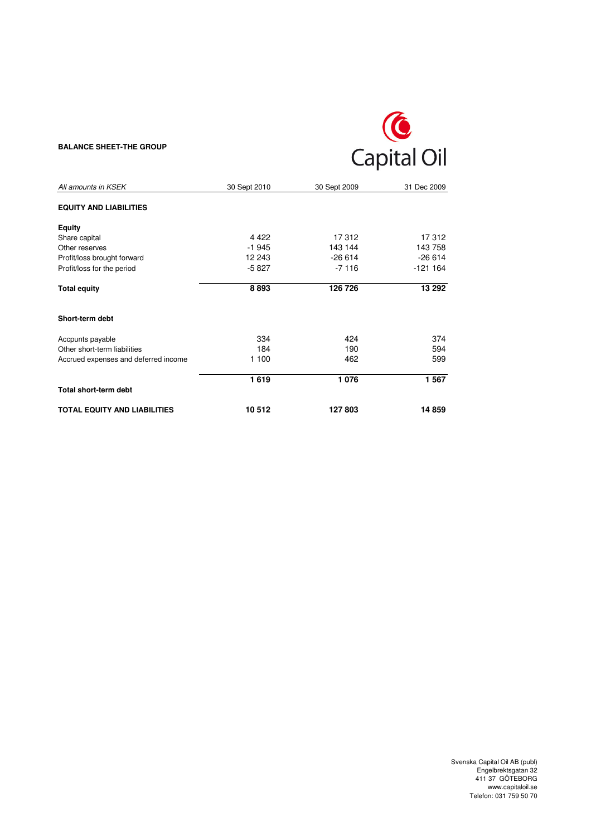# **BALANCE SHEET-THE GROUP**



| All amounts in KSEK                  | 30 Sept 2010 | 30 Sept 2009 | 31 Dec 2009 |
|--------------------------------------|--------------|--------------|-------------|
| <b>EQUITY AND LIABILITIES</b>        |              |              |             |
| Equity                               |              |              |             |
| Share capital                        | 4 4 2 2      | 17312        | 17312       |
| Other reserves                       | $-1945$      | 143 144      | 143 758     |
| Profit/loss brought forward          | 12 243       | $-26614$     | $-26614$    |
| Profit/loss for the period           | $-5827$      | $-7116$      | $-121164$   |
| <b>Total equity</b>                  | 8893         | 126 726      | 13 29 2     |
| Short-term debt                      |              |              |             |
| Accpunts payable                     | 334          | 424          | 374         |
| Other short-term liabilities         | 184          | 190          | 594         |
| Accrued expenses and deferred income | 1 100        | 462          | 599         |
|                                      | 1619         | 1076         | 1 5 6 7     |
| Total short-term debt                |              |              |             |
| <b>TOTAL EQUITY AND LIABILITIES</b>  | 10512        | 127803       | 14 859      |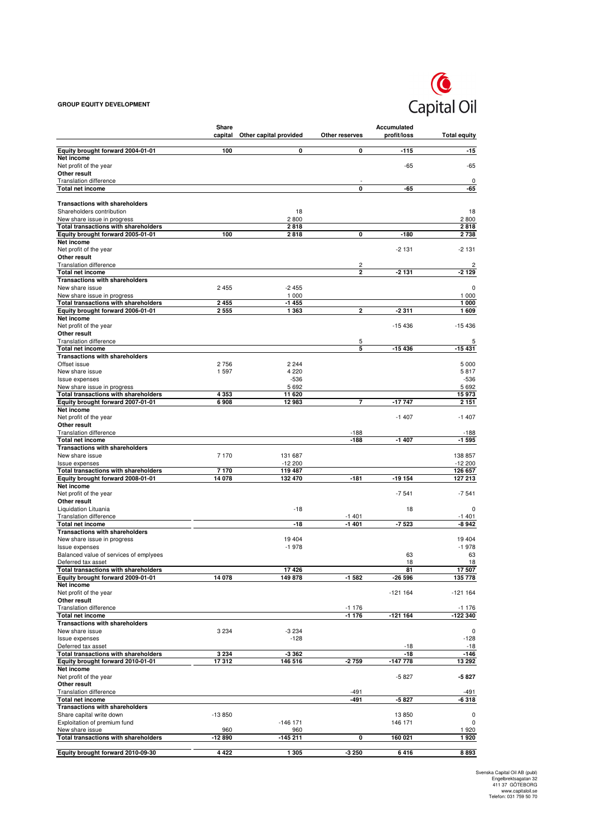## **GROUP EQUITY DEVELOPMENT**



|                                                                    | Share    |                        |                         | Accumulated      |                        |
|--------------------------------------------------------------------|----------|------------------------|-------------------------|------------------|------------------------|
|                                                                    | capital  | Other capital provided | Other reserves          | profit/loss      | <b>Total equity</b>    |
| Equity brought forward 2004-01-01                                  | 100      | 0                      | 0                       | -115             | $-15$                  |
| Net income                                                         |          |                        |                         |                  |                        |
| Net profit of the year<br>Other result                             |          |                        |                         | $-65$            | $-65$                  |
| <b>Translation difference</b>                                      |          |                        |                         |                  | $\pmb{0}$              |
| Total net income                                                   |          |                        | 0                       | -65              | -65                    |
|                                                                    |          |                        |                         |                  |                        |
| <b>Transactions with shareholders</b><br>Shareholders contribution |          | 18                     |                         |                  | 18                     |
| New share issue in progress                                        |          | 2800                   |                         |                  | 2800                   |
| <b>Total transactions with shareholders</b>                        |          | 2818                   |                         |                  | 2818                   |
| Equity brought forward 2005-01-01                                  | 100      | 2818                   | 0                       | $-180$           | 2738                   |
| Net income<br>Net profit of the year                               |          |                        |                         | $-2131$          | $-2131$                |
| Other result                                                       |          |                        |                         |                  |                        |
| <b>Translation difference</b>                                      |          |                        | 2                       |                  | 2                      |
| Total net income                                                   |          |                        | $\overline{2}$          | $-2131$          | -2 129                 |
| <b>Transactions with shareholders</b><br>New share issue           | 2455     | $-2455$                |                         |                  | 0                      |
| New share issue in progress                                        |          | 1 0 0 0                |                         |                  | 1 000                  |
| Total transactions with shareholders                               | 2455     | $-1455$                |                         |                  | 1000                   |
| Equity brought forward 2006-01-01                                  | 2555     | 1 3 6 3                | $\overline{\mathbf{2}}$ | $-2311$          | 1609                   |
| Net income                                                         |          |                        |                         | $-15436$         | $-15436$               |
| Net profit of the year<br>Other result                             |          |                        |                         |                  |                        |
| <b>Translation difference</b>                                      |          |                        | 5                       |                  | 5                      |
| <b>Total net income</b>                                            |          |                        | 5                       | $-15436$         | -15 431                |
| <b>Transactions with shareholders</b><br>Offset issue              | 2756     | 2 2 4 4                |                         |                  |                        |
| New share issue                                                    | 1597     | 4 2 2 0                |                         |                  | 5 0 0 0<br>5817        |
| Issue expenses                                                     |          | $-536$                 |                         |                  | -536                   |
| New share issue in progress                                        |          | 5692                   |                         |                  | 5692                   |
| Total transactions with shareholders                               | 4 3 5 3  | 11 620                 |                         |                  | 15973                  |
| Equity brought forward 2007-01-01<br>Net income                    | 6908     | 12 983                 | 7                       | $-17747$         | 2 1 5 1                |
| Net profit of the year                                             |          |                        |                         | $-1407$          | $-1407$                |
| Other result                                                       |          |                        |                         |                  |                        |
| <b>Translation difference</b>                                      |          |                        | $-188$                  |                  | $-188$                 |
| Total net income<br><b>Transactions with shareholders</b>          |          |                        | -188                    | $-1407$          | $-1595$                |
| New share issue                                                    | 7 1 7 0  | 131 687                |                         |                  | 138 857                |
| <b>Issue expenses</b>                                              |          | $-12200$               |                         |                  | $-12200$               |
| Total transactions with shareholders                               | 7170     | 119 487                | $-181$                  | -19 154          | 126 657                |
| Equity brought forward 2008-01-01<br>Net income                    | 14 078   | 132 470                |                         |                  | 127 213                |
| Net profit of the year                                             |          |                        |                         | $-7541$          | $-7541$                |
| Other result                                                       |          |                        |                         |                  |                        |
| Liquidation Lituania                                               |          | $-18$                  |                         | 18               | 0                      |
| <b>Translation difference</b><br>Total net income                  |          | -18                    | $-1401$<br>$-1401$      | $-7523$          | $-1401$<br>-8 942      |
| <b>Transactions with shareholders</b>                              |          |                        |                         |                  |                        |
| New share issue in progress                                        |          | 19 4 04                |                         |                  | 19 404                 |
| Issue expenses                                                     |          | $-1978$                |                         |                  | $-1978$                |
| Balanced value of services of emplyees<br>Deferred tax asset       |          |                        |                         | 63<br>18         | 63<br>18               |
| <b>Total transactions with shareholders</b>                        |          | 17426                  |                         | 81               | 17507                  |
| Equity brought forward 2009-01-01                                  | 14 078   | 149 878                | $-1582$                 | $-26596$         | 135 778                |
| Net income                                                         |          |                        |                         |                  |                        |
| Net profit of the year<br>Other result                             |          |                        |                         | $-121164$        | $-121164$              |
| <b>Translation difference</b>                                      |          |                        | $-1176$                 |                  | $-1176$                |
| Total net income                                                   |          |                        | $-1176$                 | -121 164         | -122 340               |
| <b>Transactions with shareholders</b>                              |          |                        |                         |                  |                        |
| New share issue<br><b>Issue expenses</b>                           | 3 2 3 4  | $-3234$<br>$-128$      |                         |                  | $\mathbf 0$<br>$-128$  |
| Deferred tax asset                                                 |          |                        |                         | $-18$            | $-18$                  |
| Total transactions with shareholders                               | 3 2 3 4  | -3 362                 |                         | $-18$            | -146                   |
| Equity brought forward 2010-01-01                                  | 17312    | 146 516                | -2 759                  | -147 778         | 13 29 2                |
| Net income                                                         |          |                        |                         |                  |                        |
| Net profit of the year<br>Other result                             |          |                        |                         | $-5827$          | -5827                  |
| <b>Translation difference</b>                                      |          |                        | $-491$                  |                  | -491                   |
| Total net income                                                   |          |                        | -491                    | $-5827$          | $-6318$                |
| <b>Transactions with shareholders</b>                              |          |                        |                         |                  |                        |
| Share capital write down<br>Exploitation of premium fund           | $-13850$ | $-146$ 171             |                         | 13850<br>146 171 | $\pmb{0}$<br>$\pmb{0}$ |
| New share issue                                                    | 960      | 960                    |                         |                  | 1920                   |
| Total transactions with shareholders                               | $-12890$ | $-145211$              | 0                       | 160 021          | 1920                   |
|                                                                    |          |                        |                         |                  |                        |
| Equity brought forward 2010-09-30                                  | 4 4 2 2  | 1 3 0 5                | -3 250                  | 6416             | 8893                   |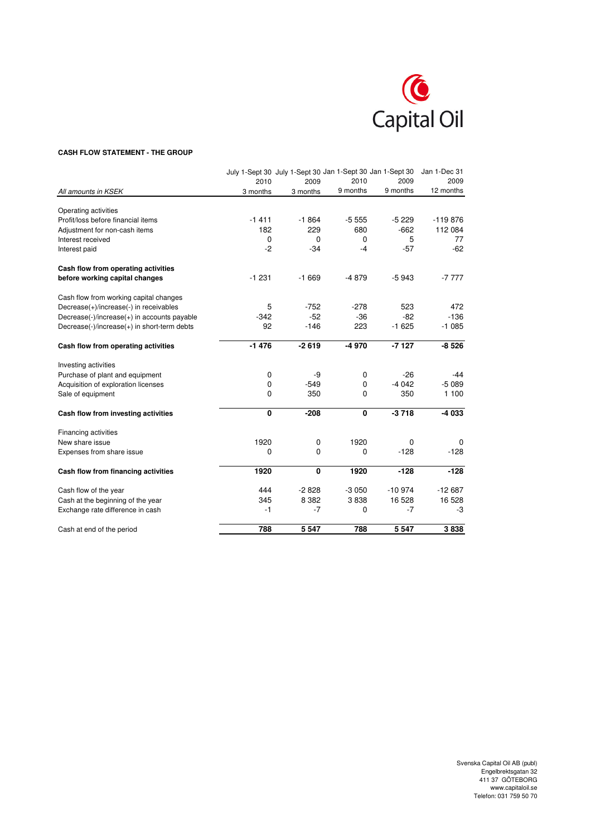

#### **CASH FLOW STATEMENT - THE GROUP**

|                                             |             | July 1-Sept 30 July 1-Sept 30 Jan 1-Sept 30 Jan 1-Sept 30 |          |          | Jan 1-Dec 31 |
|---------------------------------------------|-------------|-----------------------------------------------------------|----------|----------|--------------|
|                                             | 2010        | 2009                                                      | 2010     | 2009     | 2009         |
| All amounts in KSEK                         | 3 months    | 3 months                                                  | 9 months | 9 months | 12 months    |
| Operating activities                        |             |                                                           |          |          |              |
| Profit/loss before financial items          | $-1411$     | $-1864$                                                   | $-5555$  | $-5229$  | $-119876$    |
| Adjustment for non-cash items               | 182         | 229                                                       | 680      | $-662$   | 112 084      |
| Interest received                           | $\mathbf 0$ | $\mathbf 0$                                               | 0        | 5        | 77           |
| Interest paid                               | $-2$        | $-34$                                                     | $-4$     | $-57$    | $-62$        |
| Cash flow from operating activities         |             |                                                           |          |          |              |
| before working capital changes              | $-1231$     | $-1669$                                                   | $-4879$  | $-5943$  | $-7777$      |
| Cash flow from working capital changes      |             |                                                           |          |          |              |
| Decrease(+)/increase(-) in receivables      | 5           | $-752$                                                    | $-278$   | 523      | 472          |
| Decrease(-)/increase(+) in accounts payable | $-342$      | $-52$                                                     | $-36$    | $-82$    | $-136$       |
| Decrease(-)/increase(+) in short-term debts | 92          | $-146$                                                    | 223      | $-1625$  | $-1085$      |
| Cash flow from operating activities         | $-1476$     | $-2619$                                                   | -4 970   | $-7127$  | $-8526$      |
| Investing activities                        |             |                                                           |          |          |              |
| Purchase of plant and equipment             | $\mathbf 0$ | -9                                                        | 0        | $-26$    | -44          |
| Acquisition of exploration licenses         | $\mathbf 0$ | $-549$                                                    | 0        | $-4042$  | $-5089$      |
| Sale of equipment                           | 0           | 350                                                       | 0        | 350      | 1 100        |
| Cash flow from investing activities         | 0           | $-208$                                                    | 0        | $-3718$  | $-4033$      |
| Financing activities                        |             |                                                           |          |          |              |
| New share issue                             | 1920        | 0                                                         | 1920     | 0        | 0            |
| Expenses from share issue                   | 0           | 0                                                         | 0        | $-128$   | $-128$       |
| Cash flow from financing activities         | 1920        | 0                                                         | 1920     | $-128$   | $-128$       |
| Cash flow of the year                       | 444         | $-2828$                                                   | $-3050$  | $-10974$ | $-12687$     |
| Cash at the beginning of the year           | 345         | 8 3 8 2                                                   | 3838     | 16 528   | 16 528       |
| Exchange rate difference in cash            | $-1$        | $-7$                                                      | 0        | $-7$     | -3           |
| Cash at end of the period                   | 788         | 5 5 4 7                                                   | 788      | 5 5 4 7  | 3838         |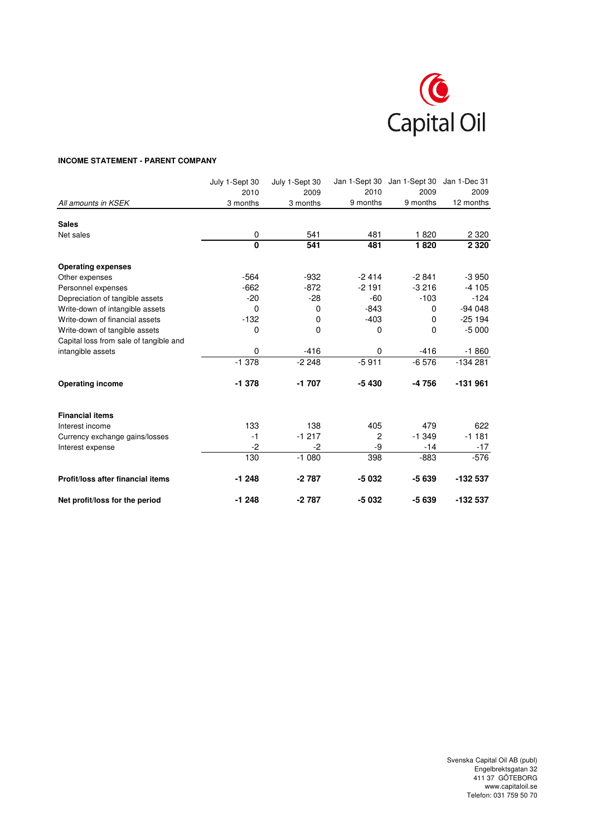

# **INCOME STATEMENT - PARENT COMPANY**

|                                        | July 1-Sept 30 | July 1-Sept 30 | Jan 1-Sept 30  | Jan 1-Sept 30 | Jan 1-Dec 31 |
|----------------------------------------|----------------|----------------|----------------|---------------|--------------|
|                                        | 2010           | 2009           | 2010           | 2009          | 2009         |
| All amounts in KSEK                    | 3 months       | 3 months       | 9 months       | 9 months      | 12 months    |
| <b>Sales</b>                           |                |                |                |               |              |
| Net sales                              | 0              | 541            | 481            | 1820          | 2 3 2 0      |
|                                        | $\overline{0}$ | 541            | 481            | 1820          | 2 3 2 0      |
| <b>Operating expenses</b>              |                |                |                |               |              |
| Other expenses                         | $-564$         | $-932$         | $-2414$        | $-2841$       | $-3950$      |
| Personnel expenses                     | $-662$         | $-872$         | $-2191$        | $-3216$       | $-4105$      |
| Depreciation of tangible assets        | $-20$          | $-28$          | $-60$          | $-103$        | $-124$       |
| Write-down of intangible assets        | $\mathbf 0$    | 0              | $-843$         | 0             | $-94048$     |
| Write-down of financial assets         | $-132$         | 0              | $-403$         | $\Omega$      | $-25194$     |
| Write-down of tangible assets          | $\mathbf 0$    | 0              | 0              | $\Omega$      | $-5000$      |
| Capital loss from sale of tangible and |                |                |                |               |              |
| intangible assets                      | $\mathbf 0$    | $-416$         | $\Omega$       | $-416$        | $-1860$      |
|                                        | $-1378$        | $-2248$        | $-5911$        | $-6576$       | $-134281$    |
| <b>Operating income</b>                | $-1378$        | $-1707$        | $-5430$        | -4756         | $-131961$    |
| <b>Financial items</b>                 |                |                |                |               |              |
| Interest income                        | 133            | 138            | 405            | 479           | 622          |
| Currency exchange gains/losses         | $-1$           | $-1217$        | $\overline{c}$ | $-1.349$      | $-1181$      |
| Interest expense                       | $-2$           | $-2$           | -9             | $-14$         | $-17$        |
|                                        | 130            | $-1080$        | 398            | $-883$        | $-576$       |
| Profit/loss after financial items      | $-1248$        | $-2787$        | $-5032$        | $-5639$       | -132 537     |
| Net profit/loss for the period         | $-1248$        | $-2787$        | -5 032         | $-5639$       | -132 537     |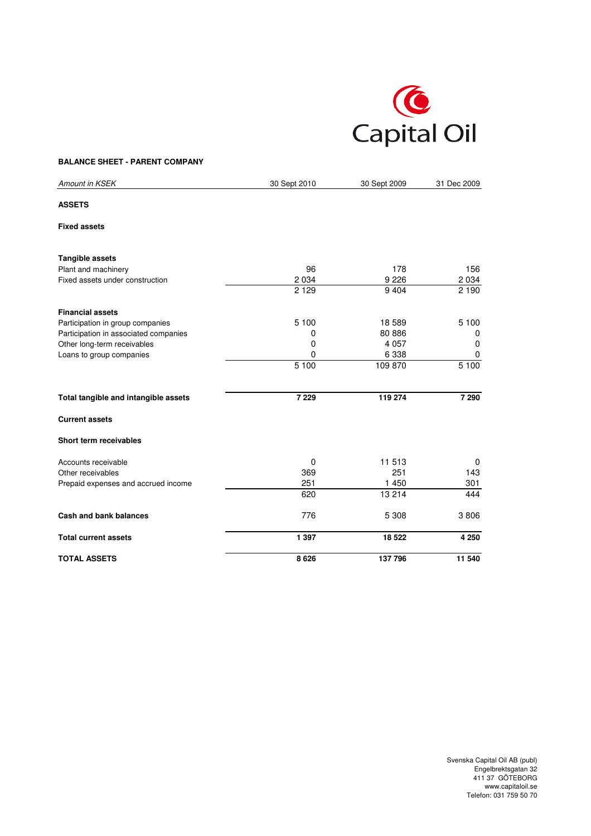

# **BALANCE SHEET - PARENT COMPANY**

| Amount in KSEK                        | 30 Sept 2010 | 30 Sept 2009 | 31 Dec 2009 |
|---------------------------------------|--------------|--------------|-------------|
| <b>ASSETS</b>                         |              |              |             |
| <b>Fixed assets</b>                   |              |              |             |
| <b>Tangible assets</b>                |              |              |             |
| Plant and machinery                   | 96           | 178          | 156         |
| Fixed assets under construction       | 2 0 3 4      | 9 2 2 6      | 2 0 3 4     |
|                                       | 2 1 2 9      | 9 4 0 4      | 2 1 9 0     |
| <b>Financial assets</b>               |              |              |             |
| Participation in group companies      | 5 100        | 18 589       | 5 100       |
| Participation in associated companies | 0            | 80 886       | 0           |
| Other long-term receivables           | 0            | 4 0 5 7      | 0           |
| Loans to group companies              | 0            | 6 3 3 8      | 0           |
|                                       | 5 100        | 109 870      | 5 100       |
| Total tangible and intangible assets  | 7 2 2 9      | 119 274      | 7 2 9 0     |
| <b>Current assets</b>                 |              |              |             |
| Short term receivables                |              |              |             |
| Accounts receivable                   | 0            | 11 513       | 0           |
| Other receivables                     | 369          | 251          | 143         |
| Prepaid expenses and accrued income   | 251          | 1 450        | 301         |
|                                       | 620          | 13 214       | 444         |
| Cash and bank balances                | 776          | 5 3 0 8      | 3806        |
| <b>Total current assets</b>           | 1 3 9 7      | 18 5 22      | 4 2 5 0     |
| <b>TOTAL ASSETS</b>                   | 8626         | 137 796      | 11 540      |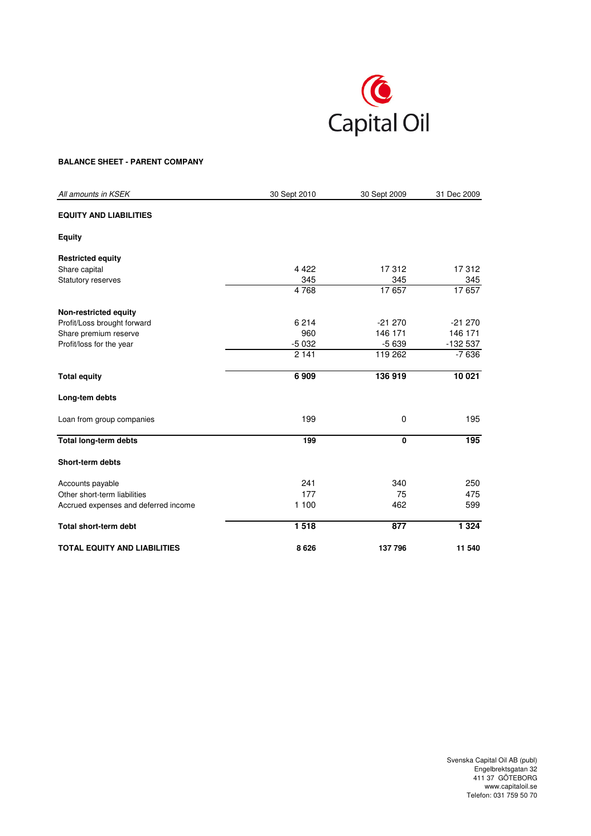

# **BALANCE SHEET - PARENT COMPANY**

| All amounts in KSEK                  | 30 Sept 2010 | 30 Sept 2009 | 31 Dec 2009 |
|--------------------------------------|--------------|--------------|-------------|
| <b>EQUITY AND LIABILITIES</b>        |              |              |             |
| <b>Equity</b>                        |              |              |             |
| <b>Restricted equity</b>             |              |              |             |
| Share capital                        | 4 4 2 2      | 17312        | 17312       |
| Statutory reserves                   | 345          | 345          | 345         |
|                                      | 4768         | 17 657       | 17657       |
| Non-restricted equity                |              |              |             |
| Profit/Loss brought forward          | 6 2 1 4      | $-21270$     | $-21270$    |
| Share premium reserve                | 960          | 146 171      | 146 171     |
| Profit/loss for the year             | $-5032$      | $-5639$      | -132 537    |
|                                      | 2 1 4 1      | 119 262      | $-7636$     |
| <b>Total equity</b>                  | 6909         | 136 919      | 10021       |
| Long-tem debts                       |              |              |             |
| Loan from group companies            | 199          | 0            | 195         |
| <b>Total long-term debts</b>         | 199          | 0            | 195         |
| <b>Short-term debts</b>              |              |              |             |
| Accounts payable                     | 241          | 340          | 250         |
| Other short-term liabilities         | 177          | 75           | 475         |
| Accrued expenses and deferred income | 1 100        | 462          | 599         |
| <b>Total short-term debt</b>         | 1518         | 877          | 1 3 2 4     |
| <b>TOTAL EQUITY AND LIABILITIES</b>  | 8626         | 137 796      | 11 540      |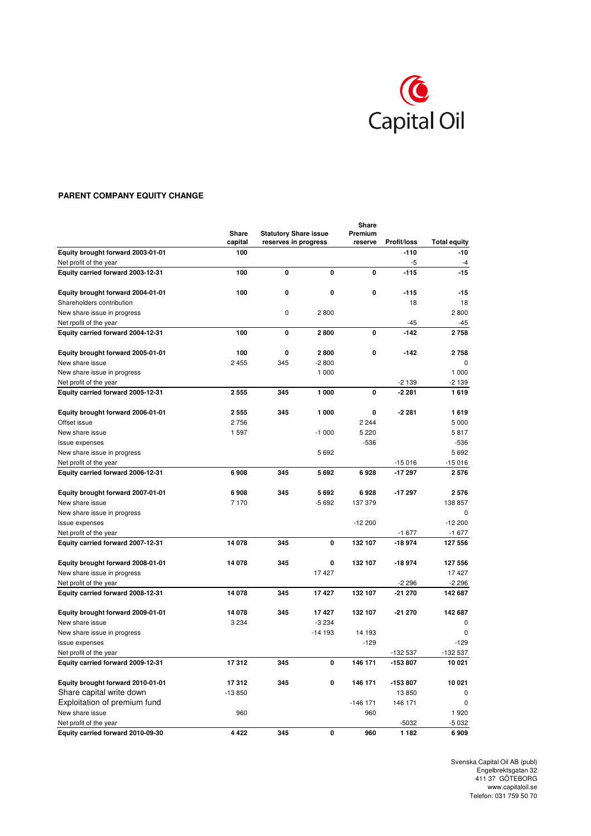

# **PARENT COMPANY EQUITY CHANGE**

|                                                             | <b>Share</b> |                              |          |              |                    |                     |
|-------------------------------------------------------------|--------------|------------------------------|----------|--------------|--------------------|---------------------|
|                                                             | Share        | <b>Statutory Share issue</b> |          | Premium      |                    |                     |
|                                                             | capital      | reserves in progress         |          | reserve      | <b>Profit/loss</b> | <b>Total equity</b> |
| Equity brought forward 2003-01-01                           | 100          |                              |          |              | $-110$<br>-5       | $-10$<br>$-4$       |
| Net profit of the year<br>Equity carried forward 2003-12-31 | 100          | 0                            | 0        | $\mathbf{0}$ | $-115$             | $-15$               |
|                                                             |              |                              |          |              |                    |                     |
| Equity brought forward 2004-01-01                           | 100          | 0                            | 0        | $\mathbf 0$  | $-115$             | $-15$               |
| Shareholders contribution                                   |              |                              |          |              | 18                 | 18                  |
| New share issue in progress                                 |              | $\mathbf 0$                  | 2800     |              |                    | 2800                |
| Net rpofit of the year                                      |              |                              |          |              | $-45$              | $-45$               |
| Equity carried forward 2004-12-31                           | 100          | 0                            | 2800     | 0            | $-142$             | 2758                |
| Equity brought forward 2005-01-01                           | 100          | 0                            | 2800     | 0            | $-142$             | 2758                |
| New share issue                                             | 2 4 5 5      | 345                          | $-2800$  |              |                    |                     |
| New share issue in progress                                 |              |                              | 1 000    |              |                    | 1 000               |
| Net profit of the year                                      |              |                              |          |              | $-2139$            | $-2139$             |
| Equity carried forward 2005-12-31                           | 2 5 5 5      | 345                          | 1 000    | 0            | $-2281$            | 1619                |
| Equity brought forward 2006-01-01                           | 2 5 5 5      | 345                          | 1 000    | 0            | $-2281$            | 1619                |
| Offset issue                                                | 2756         |                              |          | 2 2 4 4      |                    | 5 0 0 0             |
| New share issue                                             | 1 597        |                              | $-1000$  | 5 2 2 0      |                    | 5817                |
| Issue expenses                                              |              |                              |          | $-536$       |                    | $-536$              |
| New share issue in progress                                 |              |                              | 5692     |              |                    | 5692                |
| Net profit of the year                                      |              |                              |          |              | $-15016$           | $-15016$            |
| Equity carried forward 2006-12-31                           | 6908         | 345                          | 5692     | 6928         | $-17297$           | 2576                |
| Equity brought forward 2007-01-01                           | 6908         | 345                          | 5692     | 6928         | $-17297$           | 2576                |
| New share issue                                             | 7 170        |                              | $-5692$  | 137 379      |                    | 138 857             |
| New share issue in progress                                 |              |                              |          |              |                    | 0                   |
| Issue expenses                                              |              |                              |          | $-12200$     |                    | $-12200$            |
| Net profit of the year                                      |              |                              |          |              | $-1677$            | $-1677$             |
| Equity carried forward 2007-12-31                           | 14 078       | 345                          | 0        | 132 107      | $-18974$           | 127 556             |
| Equity brought forward 2008-01-01                           | 14 078       | 345                          | 0        | 132 107      | $-18974$           | 127 556             |
| New share issue in progress                                 |              |                              | 17 427   |              |                    | 17 427              |
| Net profit of the year                                      |              |                              |          |              | $-2296$            | $-2296$             |
| Equity carried forward 2008-12-31                           | 14 078       | 345                          | 17427    | 132 107      | -21 270            | 142 687             |
| Equity brought forward 2009-01-01                           | 14 078       | 345                          | 17427    | 132 107      | $-21270$           | 142 687             |
| New share issue                                             | 3 2 3 4      |                              | $-3234$  |              |                    | <sup>0</sup>        |
| New share issue in progress                                 |              |                              | $-14193$ | 14 193       |                    | 0                   |
| Issue expenses                                              |              |                              |          | $-129$       |                    | $-129$              |
| Net profit of the year                                      |              |                              |          |              | -132 537           | -132 537            |
| Equity carried forward 2009-12-31                           | 17312        | 345                          | 0        | 146 171      | -153 807           | 10 021              |
| Equity brought forward 2010-01-01                           | 17312        | 345                          | 0        | 146 171      | -153 807           | 10 021              |
| Share capital write down                                    | $-13850$     |                              |          |              | 13850              | $\Omega$            |
| Exploitation of premium fund                                |              |                              |          | $-146$ 171   | 146 171            | 0                   |
| New share issue                                             | 960          |                              |          | 960          |                    | 1920                |
| Net profit of the year                                      |              |                              |          |              | $-5032$            | $-5032$             |
| Equity carried forward 2010-09-30                           | 4 4 2 2      | 345                          | 0        | 960          | 1 1 8 2            | 6909                |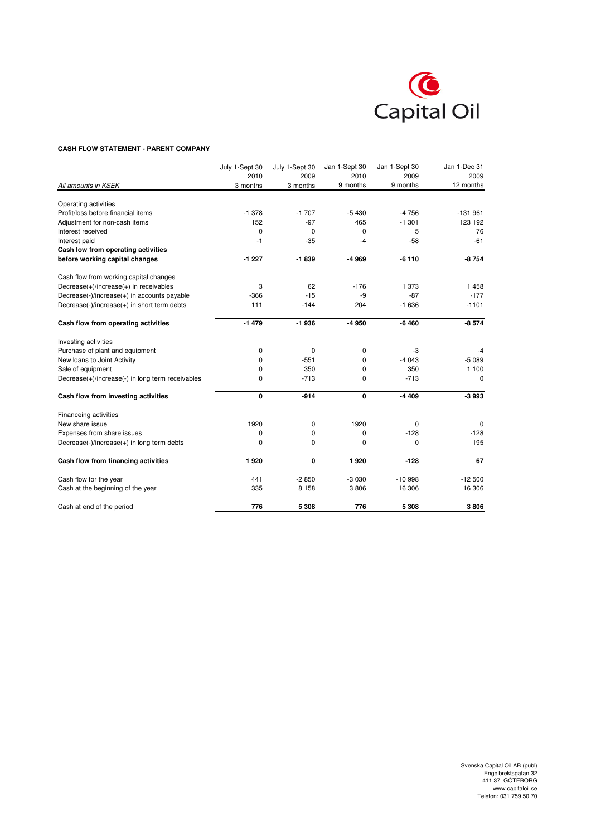

#### **CASH FLOW STATEMENT - PARENT COMPANY**

|                                                  | July 1-Sept 30 | July 1-Sept 30 | Jan 1-Sept 30 | Jan 1-Sept 30 | Jan 1-Dec 31 |
|--------------------------------------------------|----------------|----------------|---------------|---------------|--------------|
|                                                  | 2010           | 2009           | 2010          | 2009          | 2009         |
| All amounts in KSEK                              | 3 months       | 3 months       | 9 months      | 9 months      | 12 months    |
| Operating activities                             |                |                |               |               |              |
| Profit/loss before financial items               | $-1.378$       | $-1707$        | $-5430$       | $-4756$       | $-131961$    |
| Adjustment for non-cash items                    | 152            | $-97$          | 465           | $-1.301$      | 123 192      |
| Interest received                                | 0              | 0              | 0             | 5             | 76           |
| Interest paid                                    | $-1$           | $-35$          | $-4$          | $-58$         | $-61$        |
| Cash low from operating activities               |                |                |               |               |              |
| before working capital changes                   | $-1227$        | $-1839$        | -4 969        | $-6110$       | -8754        |
| Cash flow from working capital changes           |                |                |               |               |              |
| $Decrease(+)/increase(+)$ in receivables         | 3              | 62             | $-176$        | 1 3 7 3       | 1458         |
| Decrease(-)/increase(+) in accounts payable      | $-366$         | $-15$          | -9            | $-87$         | $-177$       |
| Decrease(-)/increase(+) in short term debts      | 111            | $-144$         | 204           | $-1636$       | $-1101$      |
| Cash flow from operating activities              | $-1479$        | $-1936$        | -4 950        | $-6460$       | $-8,574$     |
| Investing activities                             |                |                |               |               |              |
| Purchase of plant and equipment                  | 0              | 0              | 0             | -3            | -4           |
| New loans to Joint Activity                      | 0              | $-551$         | 0             | $-4043$       | $-5089$      |
| Sale of equipment                                | 0              | 350            | 0             | 350           | 1 100        |
| Decrease(+)/increase(-) in long term receivables | 0              | $-713$         | $\mathbf 0$   | $-713$        | $\Omega$     |
| Cash flow from investing activities              | 0              | $-914$         | 0             | $-4409$       | $-3993$      |
| Financeing activities                            |                |                |               |               |              |
| New share issue                                  | 1920           | 0              | 1920          | $\Omega$      | $\Omega$     |
| Expenses from share issues                       | 0              | 0              | 0             | $-128$        | $-128$       |
| Decrease(-)/increase(+) in long term debts       | 0              | $\Omega$       | 0             | $\mathbf 0$   | 195          |
| Cash flow from financing activities              | 1920           | $\mathbf 0$    | 1920          | $-128$        | 67           |
| Cash flow for the year                           | 441            | $-2850$        | $-3030$       | $-10998$      | $-12500$     |
| Cash at the beginning of the year                | 335            | 8 1 5 8        | 3806          | 16 306        | 16 306       |
| Cash at end of the period                        | 776            | 5 3 0 8        | 776           | 5 3 0 8       | 3806         |